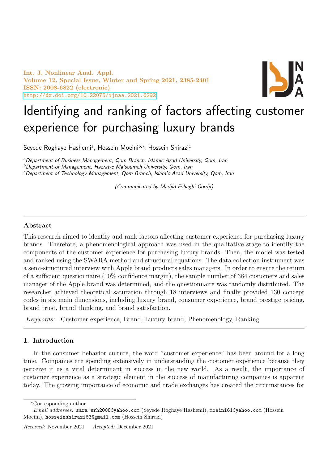Int. J. Nonlinear Anal. Appl. Volume 12, Special Issue, Winter and Spring 2021, 2385-2401 ISSN: 2008-6822 (electronic) <http://dx.doi.org/10.22075/ijnaa.2021.6292>



# Identifying and ranking of factors affecting customer experience for purchasing luxury brands

Seyede Roghaye Hashemiª, Hossein Moeini<sup>b,∗</sup>, Hossein Shirazi<sup>c</sup>

<sup>a</sup>Department of Business Management, Qom Branch, Islamic Azad University, Qom, Iran

<sup>b</sup>Department of Management, Hazrat-e Ma'soumeh University, Qom, Iran

<sup>c</sup>Department of Technology Management, Qom Branch, Islamic Azad University, Qom, Iran

(Communicated by Madjid Eshaghi Gordji)

# Abstract

This research aimed to identify and rank factors affecting customer experience for purchasing luxury brands. Therefore, a phenomenological approach was used in the qualitative stage to identify the components of the customer experience for purchasing luxury brands. Then, the model was tested and ranked using the SWARA method and structural equations. The data collection instrument was a semi-structured interview with Apple brand products sales managers. In order to ensure the return of a sufficient questionnaire (10% confidence margin), the sample number of 384 customers and sales manager of the Apple brand was determined, and the questionnaire was randomly distributed. The researcher achieved theoretical saturation through 18 interviews and finally provided 130 concept codes in six main dimensions, including luxury brand, consumer experience, brand prestige pricing, brand trust, brand thinking, and brand satisfaction.

Keywords: Customer experience, Brand, Luxury brand, Phenomenology, Ranking

# 1. Introduction

In the consumer behavior culture, the word "customer experience" has been around for a long time. Companies are spending extensively in understanding the customer experience because they perceive it as a vital determinant in success in the new world. As a result, the importance of customer experience as a strategic element in the success of manufacturing companies is apparent today. The growing importance of economic and trade exchanges has created the circumstances for

<sup>∗</sup>Corresponding author

Email addresses: sara.srh2008@yahoo.com (Seyede Roghaye Hashemi), moeini61@yahoo.com (Hossein Moeini), hosseinshirazi63@gmail.com (Hossein Shirazi)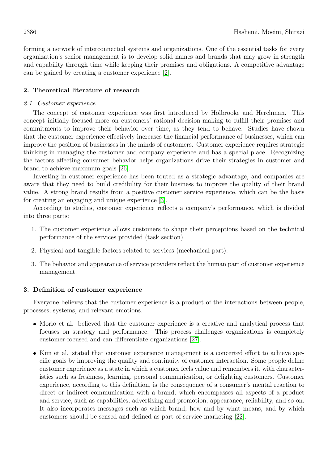forming a network of interconnected systems and organizations. One of the essential tasks for every organization's senior management is to develop solid names and brands that may grow in strength and capability through time while keeping their promises and obligations. A competitive advantage can be gained by creating a customer experience [\[2\]](#page-15-0).

# 2. Theoretical literature of research

## 2.1. Customer experience

The concept of customer experience was first introduced by Holbrooke and Herchman. This concept initially focused more on customers' rational decision-making to fulfill their promises and commitments to improve their behavior over time, as they tend to behave. Studies have shown that the customer experience effectively increases the financial performance of businesses, which can improve the position of businesses in the minds of customers. Customer experience requires strategic thinking in managing the customer and company experience and has a special place. Recognizing the factors affecting consumer behavior helps organizations drive their strategies in customer and brand to achieve maximum goals [\[26\]](#page-16-0).

Investing in customer experience has been touted as a strategic advantage, and companies are aware that they need to build credibility for their business to improve the quality of their brand value. A strong brand results from a positive customer service experience, which can be the basis for creating an engaging and unique experience [\[3\]](#page-15-1).

According to studies, customer experience reflects a company's performance, which is divided into three parts:

- 1. The customer experience allows customers to shape their perceptions based on the technical performance of the services provided (task section).
- 2. Physical and tangible factors related to services (mechanical part).
- 3. The behavior and appearance of service providers reflect the human part of customer experience management.

#### 3. Definition of customer experience

Everyone believes that the customer experience is a product of the interactions between people, processes, systems, and relevant emotions.

- Morio et al. believed that the customer experience is a creative and analytical process that focuses on strategy and performance. This process challenges organizations is completely customer-focused and can differentiate organizations [\[27\]](#page-16-1).
- Kim et al. stated that customer experience management is a concerted effort to achieve specific goals by improving the quality and continuity of customer interaction. Some people define customer experience as a state in which a customer feels value and remembers it, with characteristics such as freshness, learning, personal communication, or delighting customers. Customer experience, according to this definition, is the consequence of a consumer's mental reaction to direct or indirect communication with a brand, which encompasses all aspects of a product and service, such as capabilities, advertising and promotion, appearance, reliability, and so on. It also incorporates messages such as which brand, how and by what means, and by which customers should be sensed and defined as part of service marketing [\[22\]](#page-16-2).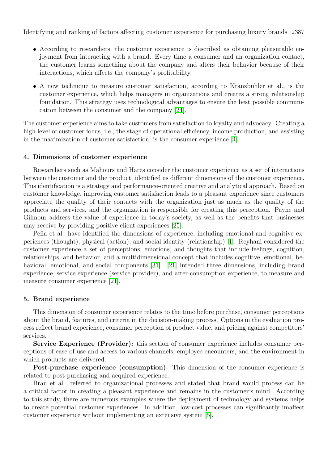- According to researchers, the customer experience is described as obtaining pleasurable enjoyment from interacting with a brand. Every time a consumer and an organization contact, the customer learns something about the company and alters their behavior because of their interactions, which affects the company's profitability.
- A new technique to measure customer satisfaction, according to Kranzbühler et al., is the customer experience, which helps managers in organizations and creates a strong relationship foundation. This strategy uses technological advantages to ensure the best possible communication between the consumer and the company [\[24\]](#page-16-3).

The customer experience aims to take customers from satisfaction to loyalty and advocacy. Creating a high level of customer focus, i.e., the stage of operational efficiency, income production, and assisting in the maximization of customer satisfaction, is the consumer experience  $[4]$ .

## 4. Dimensions of customer experience

Researchers such as Mahours and Hares consider the customer experience as a set of interactions between the customer and the product, identified as different dimensions of the customer experience. This identification is a strategy and performance-oriented creative and analytical approach. Based on customer knowledge, improving customer satisfaction leads to a pleasant experience since customers appreciate the quality of their contacts with the organization just as much as the quality of the products and services, and the organization is responsible for creating this perception. Payne and Gilmour address the value of experience in today's society, as well as the benefits that businesses may receive by providing positive client experiences [\[25\]](#page-16-4).

Peña et al. have identified the dimensions of experience, including emotional and cognitive experiences (thought), physical (action), and social identity (relationship) [\[1\]](#page-15-3). Reyhani considered the customer experience a set of perceptions, emotions, and thoughts that include feelings, cognition, relationships, and behavior, and a multidimensional concept that includes cognitive, emotional, be-havioral, emotional, and social components [\[31\]](#page-16-5). [\[21\]](#page-15-4) intended three dimensions, including brand experience, service experience (service provider), and after-consumption experience, to measure and measure consumer experience [\[21\]](#page-15-4).

## 5. Brand experience

This dimension of consumer experience relates to the time before purchase, consumer perceptions about the brand, features, and criteria in the decision-making process. Options in the evaluation process reflect brand experience, consumer perception of product value, and pricing against competitors' services.

Service Experience (Provider): this section of consumer experience includes consumer perceptions of ease of use and access to various channels, employee encounters, and the environment in which products are delivered.

Post-purchase experience (consumption): This dimension of the consumer experience is related to post-purchasing and acquired experience.

Brau et al. referred to organizational processes and stated that brand would process can be a critical factor in creating a pleasant experience and remains in the customer's mind. According to this study, there are numerous examples where the deployment of technology and systems helps to create potential customer experiences. In addition, low-cost processes can significantly imaffect customer experience without implementing an extensive system [\[5\]](#page-15-5).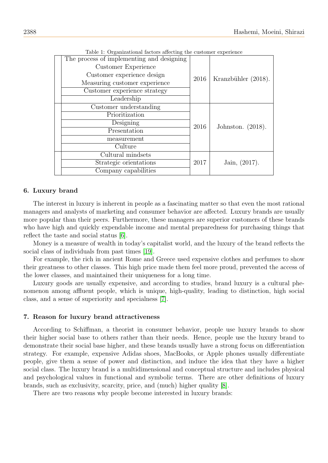| Table 1: Organizational factors affecting the customer experience |                             |                      |  |  |  |
|-------------------------------------------------------------------|-----------------------------|----------------------|--|--|--|
| The process of implementing and designing                         |                             |                      |  |  |  |
| Customer Experience                                               |                             |                      |  |  |  |
| Customer experience design                                        |                             |                      |  |  |  |
| Measuring customer experience                                     | Kranzbühler (2018).<br>2016 |                      |  |  |  |
| Customer experience strategy                                      |                             |                      |  |  |  |
| Leadership                                                        |                             |                      |  |  |  |
| Customer understanding                                            |                             | Johnston. $(2018)$ . |  |  |  |
| Prioritization                                                    |                             |                      |  |  |  |
| Designing                                                         | 2016                        |                      |  |  |  |
| Presentation                                                      |                             |                      |  |  |  |
| measurement                                                       |                             |                      |  |  |  |
| Culture                                                           |                             |                      |  |  |  |
| Cultural mindsets                                                 |                             |                      |  |  |  |
| Strategic orientations                                            | Jain, $(2017)$ .<br>2017    |                      |  |  |  |
| Company capabilities                                              |                             |                      |  |  |  |
|                                                                   |                             |                      |  |  |  |

Table 1: Organizational factors affecting the customer experience

# 6. Luxury brand

The interest in luxury is inherent in people as a fascinating matter so that even the most rational managers and analysts of marketing and consumer behavior are affected. Luxury brands are usually more popular than their peers. Furthermore, these managers are superior customers of these brands who have high and quickly expendable income and mental preparedness for purchasing things that reflect the taste and social status [\[6\]](#page-15-6).

Money is a measure of wealth in today's capitalist world, and the luxury of the brand reflects the social class of individuals from past times [\[19\]](#page-15-7).

For example, the rich in ancient Rome and Greece used expensive clothes and perfumes to show their greatness to other classes. This high price made them feel more proud, prevented the access of the lower classes, and maintained their uniqueness for a long time.

Luxury goods are usually expensive, and according to studies, brand luxury is a cultural phenomenon among affluent people, which is unique, high-quality, leading to distinction, high social class, and a sense of superiority and specialness [\[7\]](#page-15-8).

## 7. Reason for luxury brand attractiveness

According to Schiffman, a theorist in consumer behavior, people use luxury brands to show their higher social base to others rather than their needs. Hence, people use the luxury brand to demonstrate their social base higher, and these brands usually have a strong focus on differentiation strategy. For example, expensive Adidas shoes, MacBooks, or Apple phones usually differentiate people, give them a sense of power and distinction, and induce the idea that they have a higher social class. The luxury brand is a multidimensional and conceptual structure and includes physical and psychological values in functional and symbolic terms. There are other definitions of luxury brands, such as exclusivity, scarcity, price, and (much) higher quality [\[8\]](#page-15-9).

There are two reasons why people become interested in luxury brands: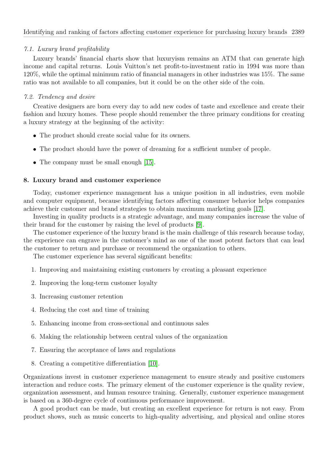# 7.1. Luxury brand profitability

Luxury brands' financial charts show that luxuryism remains an ATM that can generate high income and capital returns. Louis Vuitton's net profit-to-investment ratio in 1994 was more than 120%, while the optimal minimum ratio of financial managers in other industries was 15%. The same ratio was not available to all companies, but it could be on the other side of the coin.

# 7.2. Tendency and desire

Creative designers are born every day to add new codes of taste and excellence and create their fashion and luxury homes. These people should remember the three primary conditions for creating a luxury strategy at the beginning of the activity:

- The product should create social value for its owners.
- The product should have the power of dreaming for a sufficient number of people.
- The company must be small enough [\[15\]](#page-15-10).

## 8. Luxury brand and customer experience

Today, customer experience management has a unique position in all industries, even mobile and computer equipment, because identifying factors affecting consumer behavior helps companies achieve their customer and brand strategies to obtain maximum marketing goals [\[17\]](#page-15-11).

Investing in quality products is a strategic advantage, and many companies increase the value of their brand for the customer by raising the level of products [\[9\]](#page-15-12).

The customer experience of the luxury brand is the main challenge of this research because today, the experience can engrave in the customer's mind as one of the most potent factors that can lead the customer to return and purchase or recommend the organization to others.

The customer experience has several significant benefits:

- 1. Improving and maintaining existing customers by creating a pleasant experience
- 2. Improving the long-term customer loyalty
- 3. Increasing customer retention
- 4. Reducing the cost and time of training
- 5. Enhancing income from cross-sectional and continuous sales
- 6. Making the relationship between central values of the organization
- 7. Ensuring the acceptance of laws and regulations
- 8. Creating a competitive differentiation [\[10\]](#page-15-13).

Organizations invest in customer experience management to ensure steady and positive customers interaction and reduce costs. The primary element of the customer experience is the quality review, organization assessment, and human resource training. Generally, customer experience management is based on a 360-degree cycle of continuous performance improvement.

A good product can be made, but creating an excellent experience for return is not easy. From product shows, such as music concerts to high-quality advertising, and physical and online stores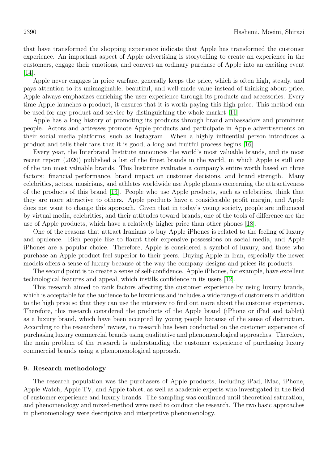that have transformed the shopping experience indicate that Apple has transformed the customer experience. An important aspect of Apple advertising is storytelling to create an experience in the customers, engage their emotions, and convert an ordinary purchase of Apple into an exciting event  $|14|$ .

Apple never engages in price warfare, generally keeps the price, which is often high, steady, and pays attention to its unimaginable, beautiful, and well-made value instead of thinking about price. Apple always emphasizes enriching the user experience through its products and accessories. Every time Apple launches a product, it ensures that it is worth paying this high price. This method can be used for any product and service by distinguishing the whole market [\[11\]](#page-15-15).

Apple has a long history of promoting its products through brand ambassadors and prominent people. Actors and actresses promote Apple products and participate in Apple advertisements on their social media platforms, such as Instagram. When a highly influential person introduces a product and tells their fans that it is good, a long and fruitful process begins [\[16\]](#page-15-16).

Every year, the Interbrand Institute announces the world's most valuable brands, and its most recent report (2020) published a list of the finest brands in the world, in which Apple is still one of the ten most valuable brands. This Institute evaluates a company's entire worth based on three factors: financial performance, brand impact on customer decisions, and brand strength. Many celebrities, actors, musicians, and athletes worldwide use Apple phones concerning the attractiveness of the products of this brand [\[13\]](#page-15-17). People who use Apple products, such as celebrities, think that they are more attractive to others. Apple products have a considerable profit margin, and Apple does not want to change this approach. Given that in today's young society, people are influenced by virtual media, celebrities, and their attitudes toward brands, one of the tools of difference are the use of Apple products, which have a relatively higher price than other phones [\[18\]](#page-15-18).

One of the reasons that attract Iranians to buy Apple iPhones is related to the feeling of luxury and opulence. Rich people like to flaunt their expensive possessions on social media, and Apple iPhones are a popular choice. Therefore, Apple is considered a symbol of luxury, and those who purchase an Apple product feel superior to their peers. Buying Apple in Iran, especially the newer models offers a sense of luxury because of the way the company designs and prices its products.

The second point is to create a sense of self-confidence. Apple iPhones, for example, have excellent technological features and appeal, which instills confidence in its users [\[12\]](#page-15-19).

This research aimed to rank factors affecting the customer experience by using luxury brands, which is acceptable for the audience to be luxurious and includes a wide range of customers in addition to the high price so that they can use the interview to find out more about the customer experience. Therefore, this research considered the products of the Apple brand (iPhone or iPad and tablet) as a luxury brand, which have been accepted by young people because of the sense of distinction. According to the researchers' review, no research has been conducted on the customer experience of purchasing luxury commercial brands using qualitative and phenomenological approaches. Therefore, the main problem of the research is understanding the customer experience of purchasing luxury commercial brands using a phenomenological approach.

#### 9. Research methodology

The research population was the purchasers of Apple products, including iPad, iMac, iPhone, Apple Watch, Apple TV, and Apple tablet, as well as academic experts who investigated in the field of customer experience and luxury brands. The sampling was continued until theoretical saturation, and phenomenology and mixed-method were used to conduct the research. The two basic approaches in phenomenology were descriptive and interpretive phenomenology.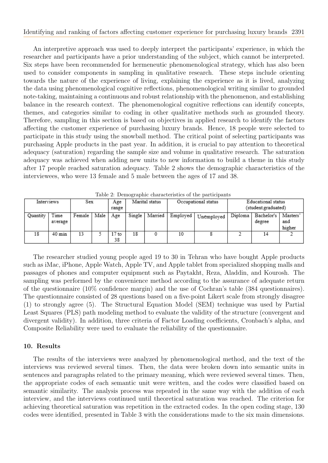An interpretive approach was used to deeply interpret the participants' experience, in which the researcher and participants have a prior understanding of the subject, which cannot be interpreted. Six steps have been recommended for hermeneutic phenomenological strategy, which has also been used to consider components in sampling in qualitative research. These steps include orienting towards the nature of the experience of living, explaining the experience as it is lived, analyzing the data using phenomenological cognitive reflections, phenomenological writing similar to grounded note-taking, maintaining a continuous and robust relationship with the phenomenon, and establishing balance in the research context. The phenomenological cognitive reflections can identify concepts, themes, and categories similar to coding in other qualitative methods such as grounded theory. Therefore, sampling in this section is based on objectives in applied research to identify the factors affecting the customer experience of purchasing luxury brands. Hence, 18 people were selected to participate in this study using the snowball method. The critical point of selecting participants was purchasing Apple products in the past year. In addition, it is crucial to pay attention to theoretical adequacy (saturation) regarding the sample size and volume in qualitative research. The saturation adequacy was achieved when adding new units to new information to build a theme in this study after 17 people reached saturation adequacy. Table 2 shows the demographic characteristics of the interviewees, who were 13 female and 5 male between the ages of 17 and 38.

|            | rapic 2. Demographic enaracteristics or the participation |        |      |                        |                                       |         |          |            |                                           |                      |                           |
|------------|-----------------------------------------------------------|--------|------|------------------------|---------------------------------------|---------|----------|------------|-------------------------------------------|----------------------|---------------------------|
| Interviews |                                                           | Sex    |      | Age<br>range           | Marital status<br>Occupational status |         |          |            | Educational status<br>(student.graduated) |                      |                           |
| Quantity   | Time<br>average                                           | Female | Male | Age                    | Single                                | Married | Employed | Unemployed | Diploma                                   | Bachelor's<br>degree | Masters'<br>and<br>higher |
| 18         | $40 \text{ min}$                                          | 13     |      | 17 <sub>to</sub><br>38 | 18                                    |         | 10       |            |                                           | 14                   |                           |

Table 2: Demographic characteristics of the participants

The researcher studied young people aged 19 to 30 in Tehran who have bought Apple products such as iMac, iPhone, Apple Watch, Apple TV, and Apple tablet from specialized shopping malls and passages of phones and computer equipment such as Paytakht, Reza, Aladdin, and Kourosh. The sampling was performed by the convenience method according to the assurance of adequate return of the questionnaire (10% confidence margin) and the use of Cochran's table (384 questionnaires). The questionnaire consisted of 28 questions based on a five-point Likert scale from strongly disagree (1) to strongly agree (5). The Structural Equation Model (SEM) technique was used by Partial Least Squares (PLS) path modeling method to evaluate the validity of the structure (convergent and divergent validity). In addition, three criteria of Factor Loading coefficients, Cronbach's alpha, and Composite Reliability were used to evaluate the reliability of the questionnaire.

# 10. Results

The results of the interviews were analyzed by phenomenological method, and the text of the interviews was reviewed several times. Then, the data were broken down into semantic units in sentences and paragraphs related to the primary meaning, which were reviewed several times. Then, the appropriate codes of each semantic unit were written, and the codes were classified based on semantic similarity. The analysis process was repeated in the same way with the addition of each interview, and the interviews continued until theoretical saturation was reached. The criterion for achieving theoretical saturation was repetition in the extracted codes. In the open coding stage, 130 codes were identified, presented in Table 3 with the considerations made to the six main dimensions.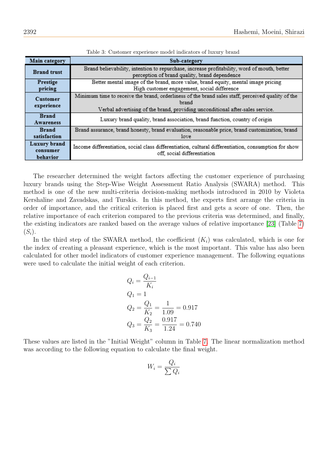| Main category                        | Sub-category                                                                                                                                                                                |
|--------------------------------------|---------------------------------------------------------------------------------------------------------------------------------------------------------------------------------------------|
| <b>Brand</b> trust                   | Brand believability, intention to repurchase, increase profitability, word of mouth, better<br>perception of brand quality, brand dependence                                                |
| Prestige<br>pricing                  | Better mental image of the brand, more value, brand equity, mental image pricing<br>High customer engagement, social difference                                                             |
| <b>Customer</b><br>experience        | Minimum time to receive the brand, orderliness of the brand sales staff, perceived quality of the<br>brand<br>Verbal advertising of the brand, providing unconditional after-sales service. |
| <b>Brand</b><br><b>Awareness</b>     | Luxury brand quality, brand association, brand function, country of origin                                                                                                                  |
| <b>Brand</b><br>satisfaction         | Brand assurance, brand honesty, brand evaluation, reasonable price, brand customization, brand<br>love                                                                                      |
| Luxury brand<br>consumer<br>behavior | Income differentiation, social class differentiation, cultural differentiation, consumption for show<br>off, social differentiation                                                         |

Table 3: Customer experience model indicators of luxury brand

The researcher determined the weight factors affecting the customer experience of purchasing luxury brands using the Step-Wise Weight Assessment Ratio Analysis (SWARA) method. This method is one of the new multi-criteria decision-making methods introduced in 2010 by Violeta Kershaline and Zavadskas, and Turskis. In this method, the experts first arrange the criteria in order of importance, and the critical criterion is placed first and gets a score of one. Then, the relative importance of each criterion compared to the previous criteria was determined, and finally, the existing indicators are ranked based on the average values of relative importance [\[23\]](#page-16-6) (Table [7\)](#page-10-0)  $(S_i).$ 

In the third step of the SWARA method, the coefficient  $(K_i)$  was calculated, which is one for the index of creating a pleasant experience, which is the most important. This value has also been calculated for other model indicators of customer experience management. The following equations were used to calculate the initial weight of each criterion.

$$
Q_i = \frac{Q_{i-1}}{K_i}
$$
  
\n
$$
Q_1 = 1
$$
  
\n
$$
Q_2 = \frac{Q_1}{K_2} = \frac{1}{1.09} = 0.917
$$
  
\n
$$
Q_3 = \frac{Q_2}{K_3} = \frac{0.917}{1.24} = 0.740
$$

These values are listed in the "Initial Weight" column in Table [7.](#page-10-0) The linear normalization method was according to the following equation to calculate the final weight.

$$
W_i = \frac{Q_i}{\sum Q_i}
$$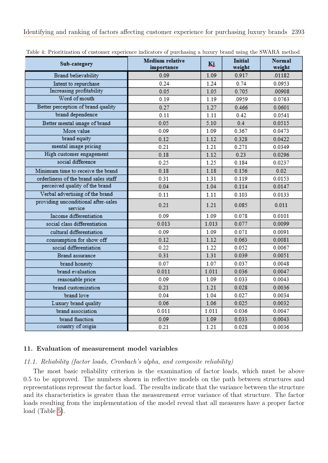| Sub-category                                   | Medium relative<br>importance | Ki    | <b>Initial</b><br>weight | Normal<br>weight |
|------------------------------------------------|-------------------------------|-------|--------------------------|------------------|
| Brand believability                            | 0.09                          | 1.09  | 0.917                    | .01182           |
| Intent to repurchase                           | 0.24                          | 1.24  | 0.74                     | 0.0953           |
| Increasing profitability                       | 0.05                          | 1.05  | 0.705                    | .00908           |
| Word of mouth                                  | 0.19                          | 1.19  | .0959                    | 0.0763           |
| Better perception of brand quality             | 0.27                          | 1.27  | 0.466                    | 0.0601           |
| brand dependence                               | 0.11                          | 1.11  | 0.42                     | 0.0541           |
| Better mental image of brand                   | 0.05                          | 5.10  | 0.4                      | 0.0515           |
| More value                                     | 0.09                          | 1.09  | 0.367                    | 0.0473           |
| brand equity                                   | 0.12                          | 1.12  | 0.328                    | 0.0422           |
| mental image pricing                           | 0.21                          | 1.21  | 0.271                    | 0.0349           |
| High customer engagement                       | 0.18                          | 1.12  | 0.23                     | 0.0296           |
| social difference                              | 0.25                          | 1.25  | 0.184                    | 0.0237           |
| Minimum time to receive the brand              | 0.18                          | 1.18  | 0.156                    | 0.02             |
| orderliness of the brand sales staff           | 0.31                          | 1.31  | 0.119                    | 0.0153           |
| perceived quality of the brand                 | 0.04                          | 1.04  | 0.114                    | 0.0147           |
| Verbal advertising of the brand                | 0.11                          | 1.11  | 0.103                    | 0.0133           |
| providing unconditional after-sales<br>service | 0.21                          | 1.21  | 0.085                    | 0.011            |
| Income differentiation                         | 0.09                          | 1.09  | 0.078                    | 0.0101           |
| social class differentiation                   | 0.013                         | 1.013 | 0.077                    | 0.0099           |
| cultural differentiation                       | 0.09                          | 1.09  | 0.071                    | 0.0091           |
| consumption for show off                       | 0.12                          | 1.12  | 0.063                    | 0.0081           |
| social differentiation                         | 0.22                          | 1.22  | 0.052                    | 0.0067           |
| Brand assurance                                | 0.31                          | 1.31  | 0.039                    | 0.0051           |
| brand honesty                                  | 0.07                          | 1.07  | 0.037                    | 0.0048           |
| brand evaluation                               | 0.011                         | 1.011 | 0.036                    | 0.0047           |
| reasonable price                               | 0.09                          | 1.09  | 0.033                    | 0.0043           |
| brand customization                            | 0.21                          | 1.21  | 0.028                    | 0.0036           |
| brand love                                     | 0.04                          | 1.04  | 0.027                    | 0.0034           |
| Luxury brand quality                           | 0.06                          | 1.06  | 0.025                    | 0.0032           |
| brand association                              | 0.011                         | 1.011 | 0.036                    | 0.0047           |
| brand function                                 | 0.09                          | 1.09  | 0.033                    | 0.0043           |
| country of origin                              | 0.21                          | 1.21  | 0.028                    | 0.0036           |

Table 4: Prioritization of customer experience indicators of purchasing a luxury brand using the SWARA method

# 11. Evaluation of measurement model variables

## 11.1. Reliability (factor loads, Cronbach's alpha, and composite reliability)

The most basic reliability criterion is the examination of factor loads, which must be above 0.5 to be approved. The numbers shown in reflective models on the path between structures and representations represent the factor load. The results indicate that the variance between the structure and its characteristics is greater than the measurement error variance of that structure. The factor loads resulting from the implementation of the model reveal that all measures have a proper factor load (Table [5\)](#page-9-0).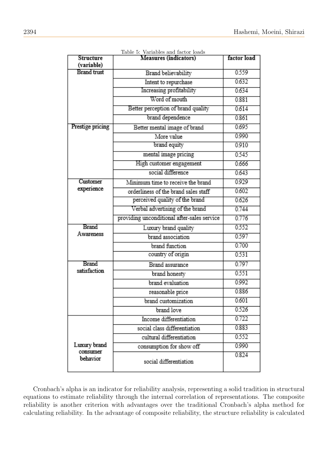<span id="page-9-0"></span>

| Structure                        | <b>Measures (indicators)</b>                | factor load |
|----------------------------------|---------------------------------------------|-------------|
| (variable)<br><b>Brand trust</b> |                                             | 0.559       |
|                                  | Brand believability                         |             |
|                                  | Intent to repurchase                        | 0.632       |
|                                  | Increasing profitability                    | 0.634       |
|                                  | Word of mouth                               | 0.881       |
|                                  | Better perception of brand quality          | 0.614       |
|                                  | brand dependence                            | 0.861       |
| Prestige pricing                 | Better mental image of brand                | 0.695       |
|                                  | More value                                  | 0.990       |
|                                  | brand equity                                | 0.910       |
|                                  | mental image pricing                        | 0.545       |
|                                  | High customer engagement                    | 0.666       |
|                                  | social difference                           | 0.643       |
| Customer                         | Minimum time to receive the brand           | 0.929       |
| experience                       | orderliness of the brand sales staff        | 0.602       |
|                                  | perceived quality of the brand              | 0.626       |
|                                  | Verbal advertising of the brand             | 0.744       |
|                                  | providing unconditional after-sales service | 0.776       |
| Brand                            | Luxury brand quality                        | 0.552       |
| Awareness                        | brand association                           | 0.597       |
|                                  | brand function                              | 0.700       |
|                                  | country of origin                           | 0.531       |
| Brand                            | Brand assurance                             | 0.797       |
| satisfaction                     | brand honesty                               | 0.551       |
|                                  | brand evaluation                            | 0.992       |
|                                  | reasonable price                            | 0.886       |
|                                  | brand customization                         | 0.601       |
|                                  | brand love                                  | 0.526       |
|                                  | Income differentiation                      | 0.722       |
|                                  | social class differentiation                | 0.883       |
|                                  | cultural differentiation                    | 0.552       |
| Luxury brand                     | consumption for show off                    | 0.990       |
| consumer<br>behavior             | social differentiation                      | 0.824       |

Table 5: Variables and factor loads

Cronbach's alpha is an indicator for reliability analysis, representing a solid tradition in structural equations to estimate reliability through the internal correlation of representations. The composite reliability is another criterion with advantages over the traditional Cronbach's alpha method for calculating reliability. In the advantage of composite reliability, the structure reliability is calculated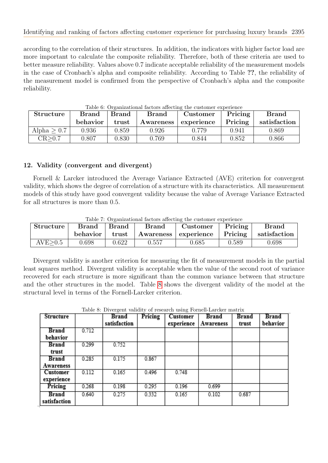according to the correlation of their structures. In addition, the indicators with higher factor load are more important to calculate the composite reliability. Therefore, both of these criteria are used to better measure reliability. Values above 0.7 indicate acceptable reliability of the measurement models in the case of Cronbach's alpha and composite reliability. According to Table ??, the reliability of the measurement model is confirmed from the perspective of Cronbach's alpha and the composite reliability.

| <b>Structure</b> | <b>Brand</b><br><b>Brand</b><br><b>Brand</b> |       | Customer  | Pricing    | <b>Brand</b> |              |
|------------------|----------------------------------------------|-------|-----------|------------|--------------|--------------|
|                  | behavior                                     | trust | Awareness | experience | Pricing      | satisfaction |
| Alpha $> 0.7$    | 0.936                                        | 0.859 | 0.926     | 0.779      | 0.941        | 0.869        |
| CR > 0.7         | 0.807                                        | 0.830 | 0.769     | 0.844      | 0.852        | 0.866        |

Table 6: Organizational factors affecting the customer experience

# 12. Validity (convergent and divergent)

Fornell & Larcker introduced the Average Variance Extracted (AVE) criterion for convergent validity, which shows the degree of correlation of a structure with its characteristics. All measurement models of this study have good convergent validity because the value of Average Variance Extracted for all structures is more than 0.5.

<span id="page-10-0"></span>

|           | Table 7: Organizational factors affecting the customer experience |         |              |                        |                 |              |  |
|-----------|-------------------------------------------------------------------|---------|--------------|------------------------|-----------------|--------------|--|
| Structure | <b>Brand</b>                                                      | ∣ Brand | <b>Brand</b> | Customer               | $\vert$ Pricing | <b>Brand</b> |  |
|           | behavior                                                          | trust   |              | Awareness   experience | $\mid$ Pricing  | satisfaction |  |
| AVE > 0.5 | 0.698                                                             | 0.622   | 0.557        | 0.685                  | 0.589           | 0.698        |  |

Table 7: Organizational factors affecting the customer experience

Divergent validity is another criterion for measuring the fit of measurement models in the partial least squares method. Divergent validity is acceptable when the value of the second root of variance recovered for each structure is more significant than the common variance between that structure and the other structures in the model. Table [8](#page-10-1) shows the divergent validity of the model at the structural level in terms of the Fornell-Larcker criterion.

|  |  | Table 8: Divergent validity of research using Fornell-Larcker matrix |  |
|--|--|----------------------------------------------------------------------|--|
|--|--|----------------------------------------------------------------------|--|

<span id="page-10-1"></span>

| Structure    |       | Brand        | Pricing | <b>Customer</b> | Brand     | Brand | Brand    |
|--------------|-------|--------------|---------|-----------------|-----------|-------|----------|
|              |       | satisfaction |         | experience      | Awareness | trust | behavior |
| Brand        | 0.712 |              |         |                 |           |       |          |
| behavior     |       |              |         |                 |           |       |          |
| Brand        | 0.299 | 0.752        |         |                 |           |       |          |
| trust        |       |              |         |                 |           |       |          |
| Brand        | 0.285 | 0.175        | 0.867   |                 |           |       |          |
| Awareness    |       |              |         |                 |           |       |          |
| Customer     | 0.112 | 0.165        | 0.496   | 0.748           |           |       |          |
| experience   |       |              |         |                 |           |       |          |
| Pricing      | 0.268 | 0.198        | 0.295   | 0.196           | 0.699     |       |          |
| Brand        | 0.640 | 0.275        | 0.332   | 0.165           | 0.102     | 0.687 |          |
| satisfaction |       |              |         |                 |           |       |          |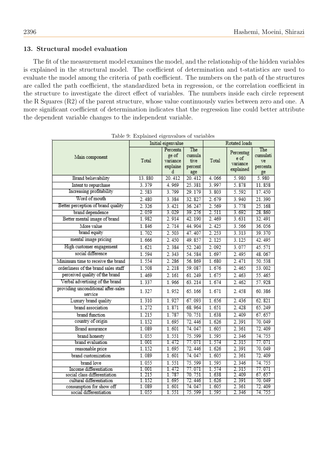## 13. Structural model evaluation

The fit of the measurement model examines the model, and the relationship of the hidden variables is explained in the structural model. The coefficient of determination and t-statistics are used to evaluate the model among the criteria of path coefficient. The numbers on the path of the structures are called the path coefficient, the standardized beta in regression, or the correlation coefficient in the structure to investigate the direct effect of variables. The numbers inside each circle represent the R Squares (R2) of the parent structure, whose value continuously varies between zero and one. A more significant coefficient of determination indicates that the regression line could better attribute the dependent variable changes to the independent variable.

|                                                      |                | Initial eigenvalue                             |                                         | Rotated loads  |                                            |                                         |
|------------------------------------------------------|----------------|------------------------------------------------|-----------------------------------------|----------------|--------------------------------------------|-----------------------------------------|
| Main component                                       | Total          | Percenta<br>ge of<br>variance<br>explaine<br>d | The<br>cumula<br>tive<br>percent<br>age | Total          | Percentag<br>e of<br>variance<br>explained | The<br>cumulati<br>ve<br>percenta<br>ge |
| Brand believability                                  | 13.880         | 20.412                                         | 20.412                                  | 4.066          | 5.980                                      | 5.980                                   |
| Intent to repurchase                                 | 3.379          | 4.969                                          | 25.381                                  | 3.997          | 5.878                                      | 11.858                                  |
| Increasing profitability                             | 2.583          | 3.799                                          | 29.179                                  | 3.803          | 5.592                                      | 17.450                                  |
| Word of mouth                                        | 2.480          | 3.384                                          | 32.827                                  | 2.679          | 3.940                                      | 21.390                                  |
| Better perception of brand quality                   | 2.326          | 3.421                                          | 36.247                                  | 2.569          | 3.778                                      | 25.168                                  |
| brand dependence                                     | 2.059          | 3.029                                          | 39.276                                  | 2.511          | 3.692                                      | 28.860                                  |
| Better mental image of brand                         | 1.982          | 2.914                                          | 42.190                                  | 2.469          | 3.631                                      | 32.491                                  |
| More value                                           | 1.846          | 2.714                                          | 44.904                                  | 2.425          | 3.566                                      | 36.056                                  |
| brand equity                                         | 1.702          | 2.503                                          | 47.407                                  | 2.253          | 3.313                                      | 39.370                                  |
| mental image pricing                                 | 1.666          | 2.450                                          | 49.857                                  | 2.125          | 3.125                                      | 42.495                                  |
| High customer engagement                             | 1.621          | 2.384                                          | 52.240                                  | 2.092          | 3.077                                      | 45.571                                  |
| social difference                                    | 1.594          | 2.343                                          | 54.584                                  | 1.697          | 2.495                                      | 48.067                                  |
| Minimum time to receive the brand                    | 1.554          | 2.286                                          | 56.869                                  | 1.680          | 2.471                                      | 50.538                                  |
| orderliness of the brand sales staff                 | 1.508          | 2.218                                          | 59.087                                  | 1.676          | 2.465                                      | 53.002                                  |
| perceived quality of the brand                       | 1.469          | 2.161                                          | 61.249                                  | 1.675          | 2.463                                      | 55.465                                  |
| Verbal advertising of the brand                      | 1.337          | 1.966                                          | 63.214                                  | 1.674          | 2.462                                      | 57.928                                  |
| providing unconditional after-sales<br>service       | 1.327          | 1.952                                          | 65.166                                  | 1.671          | 2.458                                      | 60.386                                  |
| Luxury brand quality                                 | 1.310          | 1.927                                          | 67.093                                  | 1.656          | 2.436                                      | 62.821                                  |
| brand association                                    | 1.272          | 1.871                                          | 68.964                                  | 1.651          | 2.428                                      | 65.249                                  |
| brand function                                       | 1.215          | 1.787                                          | 70.751                                  | 1.638          | 2.409                                      | 67.657                                  |
| country of origin                                    | 1.152          | 1.695                                          | 72.446                                  | 1.626          | 2.391                                      | 70.049                                  |
| Brand assurance                                      | 1.089          | 1.601                                          | 74.047                                  | 1.605          | 2.361                                      | 72.409                                  |
| brand honesty                                        | 1.055          | 1.551                                          | 75.599                                  | 1.595          | 2.346                                      | 74.755                                  |
| brand evaluation                                     | 1.001          | 1.472                                          | 77.071                                  | 1.574          | 2.315                                      | 77.071                                  |
| reasonable price                                     | 1.152          | 1.695                                          | 72.446                                  | 1.626          | 2.391                                      | 70.049                                  |
| brand customization                                  | 1.089          | 1.601                                          | 74.047                                  | 1.605          | 2.361                                      | 72.409                                  |
| brand love                                           | 1.055          | 1.551                                          | 75.599                                  | 1.595          | 2.346                                      | 74.755                                  |
| Income differentiation                               | 1.001          | 1.472                                          | 77.071                                  | 1.574          | 2.315                                      | 77.071                                  |
| social class differentiation                         | 1.215          | 1.787                                          | 70. 751                                 | 1.638          | 2.409                                      | 67.657                                  |
| cultural differentiation<br>consumption for show off | 1.152<br>1.089 | 1.695<br>1.601                                 | 72.446<br>74.047                        | 1.626<br>1.605 | 2.391<br>2.361                             | 70.049<br>72.409                        |
| social differentiation                               | 1.055          | 1. 551                                         | 75.599                                  | 1.595          | 2.346                                      | 74. 755                                 |

Table 9: Explained eigenvalues of variables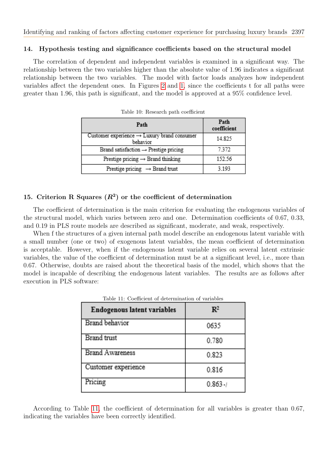# 14. Hypothesis testing and significance coefficients based on the structural model

The correlation of dependent and independent variables is examined in a significant way. The relationship between the two variables higher than the absolute value of 1.96 indicates a significant relationship between the two variables. The model with factor loads analyzes how independent variables affect the dependent ones. In Figures [2](#page-14-0) and [1,](#page-13-0) since the coefficients t for all paths were greater than 1.96, this path is significant, and the model is approved at a 95% confidence level.

| Path                                                                | Path<br>coefficient |
|---------------------------------------------------------------------|---------------------|
| Customer experience $\rightarrow$ Luxury brand consumer<br>behavior | 14.825              |
| Brand satisfaction $\rightarrow$ Prestige pricing                   | 7.372               |
| Prestige pricing $\rightarrow$ Brand thinking                       | 152.56              |
| Prestige pricing $\rightarrow$ Brand trust                          | 3193                |

Table 10: Research path coefficient

# 15. Criterion R Squares  $(R^2)$  or the coefficient of determination

The coefficient of determination is the main criterion for evaluating the endogenous variables of the structural model, which varies between zero and one. Determination coefficients of 0.67, 0.33, and 0.19 in PLS route models are described as significant, moderate, and weak, respectively.

When f the structures of a given internal path model describe an endogenous latent variable with a small number (one or two) of exogenous latent variables, the mean coefficient of determination is acceptable. However, when if the endogenous latent variable relies on several latent extrinsic variables, the value of the coefficient of determination must be at a significant level, i.e., more than 0.67. Otherwise, doubts are raised about the theoretical basis of the model, which shows that the model is incapable of describing the endogenous latent variables. The results are as follows after execution in PLS software:

<span id="page-12-0"></span>

| <b>Endogenous latent variables</b> | $\mathbf{R}^2$ |
|------------------------------------|----------------|
| <b>Brand behavior</b>              | 0635           |
| <b>Brand</b> trust                 | 0.780          |
| <b>Brand Awareness</b>             | 0.823          |
| Customer experience                | 0.816          |
| Pricing                            | $0.863 - 1$    |

Table 11: Coefficient of determination of variables

According to Table [11,](#page-12-0) the coefficient of determination for all variables is greater than 0.67, indicating the variables have been correctly identified.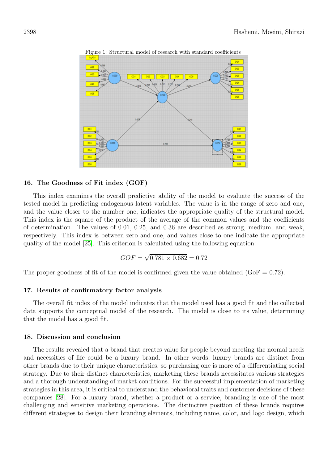<span id="page-13-0"></span>

Figure 1: Structural model of research with standard coefficients

## 16. The Goodness of Fit index (GOF)

This index examines the overall predictive ability of the model to evaluate the success of the tested model in predicting endogenous latent variables. The value is in the range of zero and one, and the value closer to the number one, indicates the appropriate quality of the structural model. This index is the square of the product of the average of the common values and the coefficients of determination. The values of 0.01, 0.25, and 0.36 are described as strong, medium, and weak, respectively. This index is between zero and one, and values close to one indicate the appropriate quality of the model [\[25\]](#page-16-4). This criterion is calculated using the following equation:

$$
GOF = \sqrt{0.781 \times 0.682} = 0.72
$$

The proper goodness of fit of the model is confirmed given the value obtained  $(GoF = 0.72)$ .

## 17. Results of confirmatory factor analysis

The overall fit index of the model indicates that the model used has a good fit and the collected data supports the conceptual model of the research. The model is close to its value, determining that the model has a good fit.

#### 18. Discussion and conclusion

The results revealed that a brand that creates value for people beyond meeting the normal needs and necessities of life could be a luxury brand. In other words, luxury brands are distinct from other brands due to their unique characteristics, so purchasing one is more of a differentiating social strategy. Due to their distinct characteristics, marketing these brands necessitates various strategies and a thorough understanding of market conditions. For the successful implementation of marketing strategies in this area, it is critical to understand the behavioral traits and customer decisions of these companies [\[28\]](#page-16-7). For a luxury brand, whether a product or a service, branding is one of the most challenging and sensitive marketing operations. The distinctive position of these brands requires different strategies to design their branding elements, including name, color, and logo design, which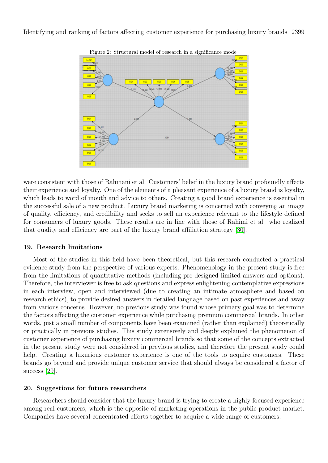<span id="page-14-0"></span>

Figure 2: Structural model of research in a significance mode

were consistent with those of Rahmani et al. Customers' belief in the luxury brand profoundly affects their experience and loyalty. One of the elements of a pleasant experience of a luxury brand is loyalty, which leads to word of mouth and advice to others. Creating a good brand experience is essential in the successful sale of a new product. Luxury brand marketing is concerned with conveying an image of quality, efficiency, and credibility and seeks to sell an experience relevant to the lifestyle defined for consumers of luxury goods. These results are in line with those of Rahimi et al. who realized that quality and efficiency are part of the luxury brand affiliation strategy [\[30\]](#page-16-8).

## 19. Research limitations

Most of the studies in this field have been theoretical, but this research conducted a practical evidence study from the perspective of various experts. Phenomenology in the present study is free from the limitations of quantitative methods (including pre-designed limited answers and options). Therefore, the interviewer is free to ask questions and express enlightening contemplative expressions in each interview, open and interviewed (due to creating an intimate atmosphere and based on research ethics), to provide desired answers in detailed language based on past experiences and away from various concerns. However, no previous study was found whose primary goal was to determine the factors affecting the customer experience while purchasing premium commercial brands. In other words, just a small number of components have been examined (rather than explained) theoretically or practically in previous studies. This study extensively and deeply explained the phenomenon of customer experience of purchasing luxury commercial brands so that some of the concepts extracted in the present study were not considered in previous studies, and therefore the present study could help. Creating a luxurious customer experience is one of the tools to acquire customers. These brands go beyond and provide unique customer service that should always be considered a factor of success [\[29\]](#page-16-9).

## 20. Suggestions for future researchers

Researchers should consider that the luxury brand is trying to create a highly focused experience among real customers, which is the opposite of marketing operations in the public product market. Companies have several concentrated efforts together to acquire a wide range of customers.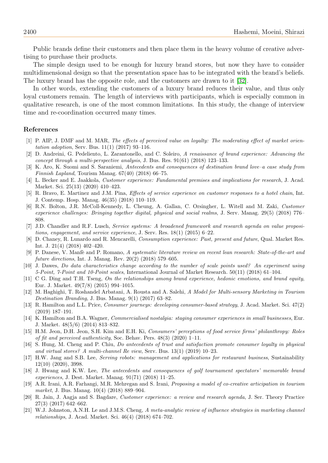Public brands define their customers and then place them in the heavy volume of creative advertising to purchase their products.

The simple design used to be enough for luxury brand stores, but now they have to consider multidimensional design so that the presentation space has to be integrated with the brand's beliefs. The luxury brand has the opposite role, and the customers are drawn to it [\[32\]](#page-16-10).

In other words, extending the customers of a luxury brand reduces their value, and thus only loyal customers remain. The length of interviews with participants, which is especially common in qualitative research, is one of the most common limitations. In this study, the change of interview time and re-coordination occurred many times.

### References

- <span id="page-15-3"></span>[1] P. AIP, J. DMF and M. MAR, The effects of perceived value on loyalty: The moderating effect of market orientation adoption, Serv. Bus. 11(1) (2017) 93–116.
- <span id="page-15-0"></span>[2] D. Andreini, G. Pedeliento, L. Zarantonello, and C. Soleiro, A renaissance of brand experience: Advancing the concept through a multi-perspective analysis, J. Bus. Res. 91(61) (2018) 123–133.
- <span id="page-15-1"></span>[3] K. Aro, K. Suomi and S. Saraniemi, Antecedents and consequences of destination brand love–a case study from Finnish Lapland, Tourism Manag. 67(40) (2018) 66–75.
- <span id="page-15-2"></span>[4] L. Becker and E. Jaakkola, Customer experience: Fundamental premises and implications for research, J. Acad. Market. Sci. 25(13) (2020) 410–423.
- <span id="page-15-5"></span>[5] R. Bravo, E. Martinez and J.M. Pina, Effects of service experience on customer responses to a hotel chain, Int. J. Contemp. Hosp. Manag. 46(35) (2018) 110–119.
- <span id="page-15-6"></span>[6] R.N. Bolton, J.R. McColl-Kennedy, L. Cheung, A. Gallan, C. Orsingher, L. Witell and M. Zaki, Customer experience challenges: Bringing together digital, physical and social realms, J. Serv. Manag. 29(5) (2018) 776– 808.
- <span id="page-15-8"></span>[7] J.D. Chandler and R.F. Lusch, Service systems: A broadened framework and research agenda on value propositions, engagement, and service experience, J. Serv. Res. 18(1) (2015) 6–22.
- <span id="page-15-9"></span>[8] D. Chaney, R. Lunardo and R. Mencarelli, Consumption experience: Past, present and future, Qual. Market Res. Int. J. 21(4) (2018) 402–420.
- <span id="page-15-12"></span>[9] P. Danese, V. Manfè and P. Romano, A systematic literature review on recent lean research: State-of-the-art and future directions, Int. J. Manag. Rev. 20(2) (2018) 579–605.
- <span id="page-15-13"></span>[10] J. Dawes, Do data characteristics change according to the number of scale points used? An experiment using 5-Point, 7-Point and 10-Point scales, International Journal of Market Research. 50(11) (2018) 61–104.
- <span id="page-15-15"></span>[11] C G. Ding and T.H. Tseng, On the relationships among brand experience, hedonic emotions, and brand equity, Eur. J. Market. 49(7/8) (2015) 994–1015.
- <span id="page-15-19"></span>[12] M. Haghighi, T. Roshandel Arbatani, A. Rousta and A. Salehi, A Model for Multi-sensory Marketing in Tourism Destination Branding, J. Bus. Manag. 9(1) (2017) 63–82.
- <span id="page-15-17"></span>[13] R. Hamilton and L.L. Price, Consumer journeys: developing consumer-based strategy, J. Acad. Market. Sci. 47(2) (2019) 187–191.
- <span id="page-15-14"></span>[14] K. Hamilton and B.A. Wagner, Commercialised nostalgia: staging consumer experiences in small businesses, Eur. J. Market. 48(5/6) (2014) 813–832.
- <span id="page-15-10"></span>[15] H.M. Jeon, D.H. Jeon, S.H. Kim and E.H. Ki, Consumers' perceptions of food service firms' philanthropy: Roles of fit and perceived authenticity, Soc. Behav. Pers. 48(3) (2020) 1–11.
- <span id="page-15-16"></span>[16] S. Hung, M. Cheng and P. Chiu, *Do antecedents of trust and satisfaction promote consumer loyalty in physical* and virtual stores? A multi-channel Re view, Serv. Bus. 13(1) (2019) 10–23.
- <span id="page-15-11"></span>[17] H.W. Jang and S.B. Lee, Serving robots: management and applications for restaurant business, Sustainability 12(10) (2020), 3998.
- <span id="page-15-18"></span>[18] J. Hwang and K.W. Lee, The antecedents and consequences of golf tournament spectators' memorable brand experiences, J. Dest. Market. Manag. 91(71) (2018) 11–25.
- <span id="page-15-7"></span>[19] A.R. Irani, A.R. Farhangi, M.R. Mehregan and S. Irani, Proposing a model of co-creative articipation in tourism market, J. Bus. Manag. 10(4) (2018) 889–904.
- [20] R. Jain, J. Aagja and S. Bagdare, Customer experience: a review and research agenda, J. Ser. Theory Practice 27(3) (2017) 642–662.
- <span id="page-15-4"></span>[21] W.J. Johnston, A.N.H. Le and J.M.S. Cheng, A meta-analytic review of influence strategies in marketing channel relationships, J. Acad. Market. Sci. 46(4) (2018) 674–702.